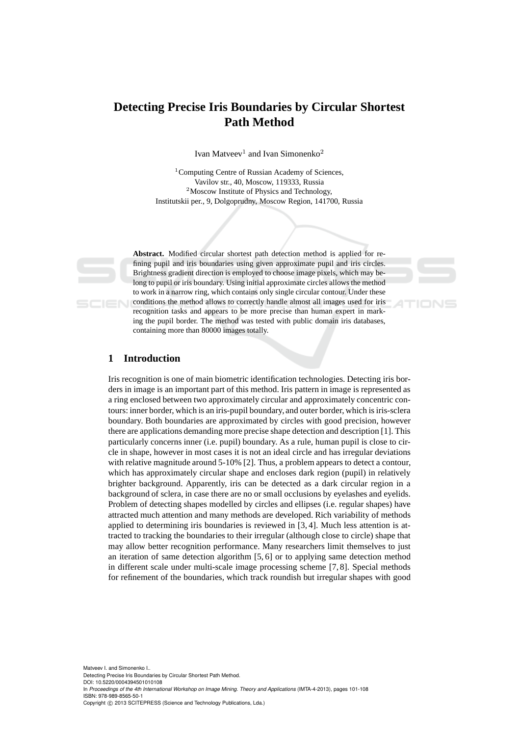# **Detecting Precise Iris Boundaries by Circular Shortest Path Method**

Ivan Matveev<sup>1</sup> and Ivan Simonenko<sup>2</sup>

<sup>1</sup> Computing Centre of Russian Academy of Sciences, Vavilov str., 40, Moscow, 119333, Russia <sup>2</sup>Moscow Institute of Physics and Technology, Institutskii per., 9, Dolgoprudny, Moscow Region, 141700, Russia



**Abstract.** Modified circular shortest path detection method is applied for refining pupil and iris boundaries using given approximate pupil and iris circles. Brightness gradient direction is employed to choose image pixels, which may belong to pupil or iris boundary. Using initial approximate circles allows the method to work in a narrow ring, which contains only single circular contour. Under these conditions the method allows to correctly handle almost all images used for iris recognition tasks and appears to be more precise than human expert in marking the pupil border. The method was tested with public domain iris databases, containing more than 80000 images totally.

### **1 Introduction**

Iris recognition is one of main biometric identification technologies. Detecting iris borders in image is an important part of this method. Iris pattern in image is represented as a ring enclosed between two approximately circular and approximately concentric contours: inner border, which is an iris-pupil boundary, and outer border, which is iris-sclera boundary. Both boundaries are approximated by circles with good precision, however there are applications demanding more precise shape detection and description [1]. This particularly concerns inner (i.e. pupil) boundary. As a rule, human pupil is close to circle in shape, however in most cases it is not an ideal circle and has irregular deviations with relative magnitude around 5-10% [2]. Thus, a problem appears to detect a contour, which has approximately circular shape and encloses dark region (pupil) in relatively brighter background. Apparently, iris can be detected as a dark circular region in a background of sclera, in case there are no or small occlusions by eyelashes and eyelids. Problem of detecting shapes modelled by circles and ellipses (i.e. regular shapes) have attracted much attention and many methods are developed. Rich variability of methods applied to determining iris boundaries is reviewed in [3, 4]. Much less attention is attracted to tracking the boundaries to their irregular (although close to circle) shape that may allow better recognition performance. Many researchers limit themselves to just an iteration of same detection algorithm [5, 6] or to applying same detection method in different scale under multi-scale image processing scheme [7, 8]. Special methods for refinement of the boundaries, which track roundish but irregular shapes with good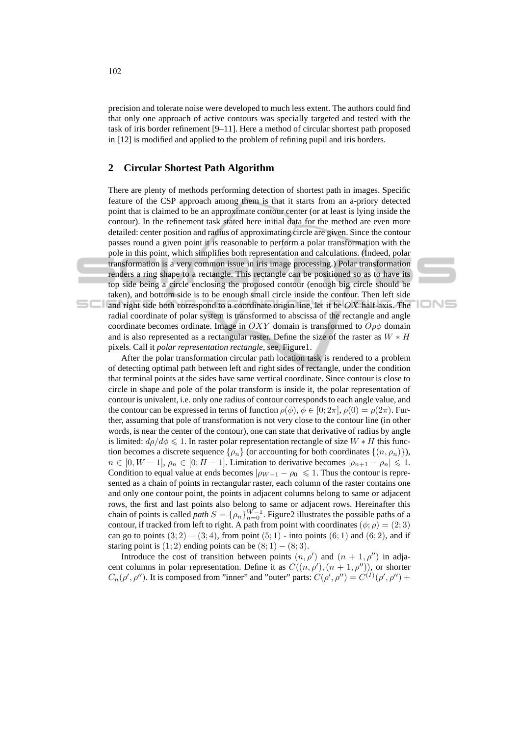precision and tolerate noise were developed to much less extent. The authors could find that only one approach of active contours was specially targeted and tested with the task of iris border refinement [9–11]. Here a method of circular shortest path proposed in [12] is modified and applied to the problem of refining pupil and iris borders.

#### **2 Circular Shortest Path Algorithm**

pixels. Call it *polar representation rectangle*, see. Figure1.

There are plenty of methods performing detection of shortest path in images. Specific feature of the CSP approach among them is that it starts from an a-priory detected point that is claimed to be an approximate contour center (or at least is lying inside the contour). In the refinement task stated here initial data for the method are even more detailed: center position and radius of approximating circle are given. Since the contour passes round a given point it is reasonable to perform a polar transformation with the pole in this point, which simplifies both representation and calculations. (Indeed, polar transformation is a very common issue in iris image processing.) Polar transformation renders a ring shape to a rectangle. This rectangle can be positioned so as to have its top side being a circle enclosing the proposed contour (enough big circle should be taken), and bottom side is to be enough small circle inside the contour. Then left side and right side both correspond to a coordinate origin line, let it be  $OX$  half-axis. The radial coordinate of polar system is transformed to abscissa of the rectangle and angle coordinate becomes ordinate. Image in OXY domain is transformed to  $O \rho \phi$  domain and is also represented as a rectangular raster. Define the size of the raster as  $W * H$ 

**IONS** 

After the polar transformation circular path location task is rendered to a problem of detecting optimal path between left and right sides of rectangle, under the condition that terminal points at the sides have same vertical coordinate. Since contour is close to circle in shape and pole of the polar transform is inside it, the polar representation of contour is univalent, i.e. only one radius of contour corresponds to each angle value, and the contour can be expressed in terms of function  $\rho(\phi)$ ,  $\phi \in [0; 2\pi]$ ,  $\rho(0) = \rho(2\pi)$ . Further, assuming that pole of transformation is not very close to the contour line (in other words, is near the center of the contour), one can state that derivative of radius by angle is limited:  $d\rho/d\phi \leq 1$ . In raster polar representation rectangle of size  $W * H$  this function becomes a discrete sequence  $\{\rho_n\}$  (or accounting for both coordinates  $\{(n, \rho_n)\}\$ ),  $n \in [0, W - 1], \rho_n \in [0, H - 1].$  Limitation to derivative becomes  $|\rho_{n+1} - \rho_n| \leq 1$ . Condition to equal value at ends becomes  $|\rho_{W-1} - \rho_0| \leq 1$ . Thus the contour is represented as a chain of points in rectangular raster, each column of the raster contains one and only one contour point, the points in adjacent columns belong to same or adjacent rows, the first and last points also belong to same or adjacent rows. Hereinafter this chain of points is called *path*  $S = {\rho_n}_{n=0}^{W-1}$ . Figure2 illustrates the possible paths of a contour, if tracked from left to right. A path from point with coordinates  $(\phi; \rho) = (2; 3)$ can go to points  $(3; 2) - (3; 4)$ , from point  $(5; 1)$  - into points  $(6; 1)$  and  $(6; 2)$ , and if staring point is  $(1; 2)$  ending points can be  $(8; 1) - (8; 3)$ .

Introduce the cost of transition between points  $(n, \rho')$  and  $(n + 1, \rho'')$  in adjacent columns in polar representation. Define it as  $C((n, \rho'), (n + 1, \rho''))$ , or shorter  $C_n(\rho', \rho'')$ . It is composed from "inner" and "outer" parts:  $C(\rho', \rho'') = C^{(I)}(\rho', \rho'')$  +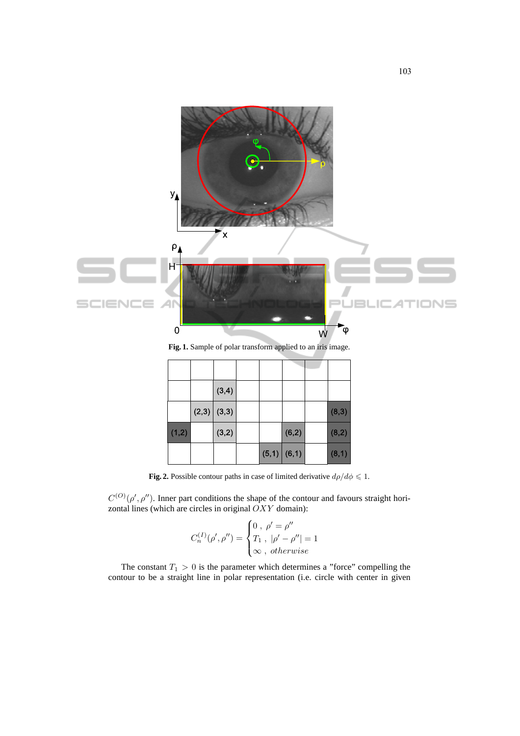

**Fig. 1.** Sample of polar transform applied to an iris image.

|       | (3,4)         |  |               |        |
|-------|---------------|--|---------------|--------|
|       | $(2,3)$ (3,3) |  |               | (8, 3) |
| (1,2) | (3,2)         |  | (6,2)         | (8,2)  |
|       |               |  | $(5,1)$ (6,1) | (8,1)  |

**Fig. 2.** Possible contour paths in case of limited derivative  $d\rho/d\phi \leq 1$ .

 $C^{(O)}(\rho', \rho'')$ . Inner part conditions the shape of the contour and favours straight horizontal lines (which are circles in original  $OXY$  domain):

$$
C_n^{(I)}(\rho', \rho'') = \begin{cases} 0, & \rho' = \rho'' \\ T_1, & |\rho' - \rho''| = 1 \\ \infty, & otherwise \end{cases}
$$

The constant  $T_1 > 0$  is the parameter which determines a "force" compelling the contour to be a straight line in polar representation (i.e. circle with center in given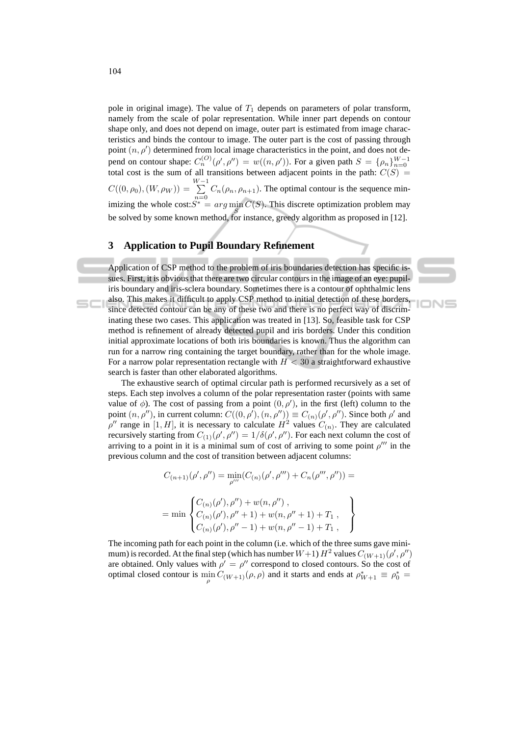pole in original image). The value of  $T_1$  depends on parameters of polar transform, namely from the scale of polar representation. While inner part depends on contour shape only, and does not depend on image, outer part is estimated from image characteristics and binds the contour to image. The outer part is the cost of passing through point  $(n, \rho')$  determined from local image characteristics in the point, and does not depend on contour shape:  $C_n^{(O)}(\rho', \rho'') = w((n, \rho'))$ . For a given path  $S = {\rho_n}_{n=0}^{W-1}$  total cost is the sum of all transitions between adjacent points in the path:  $C(S)$  =  $C((0,\rho_0),(W,\rho_W)) = \sum^{W-1}$  $\sum_{n=0}$   $C_n(\rho_n, \rho_{n+1})$ . The optimal contour is the sequence minimizing the whole cost: $S^* = arg \min_{S} C(S)$ . This discrete optimization problem may be solved by some known method, for instance, greedy algorithm as proposed in [12].

#### **3 Application to Pupil Boundary Refinement**

Application of CSP method to the problem of iris boundaries detection has specific issues. First, it is obvious that there are two circular contours in the image of an eye: pupiliris boundary and iris-sclera boundary. Sometimes there is a contour of ophthalmic lens also. This makes it difficult to apply CSP method to initial detection of these borders, since detected contour can be any of these two and there is no perfect way of discriminating these two cases. This application was treated in [13]. So, feasible task for CSP method is refinement of already detected pupil and iris borders. Under this condition initial approximate locations of both iris boundaries is known. Thus the algorithm can run for a narrow ring containing the target boundary, rather than for the whole image. For a narrow polar representation rectangle with  $H < 30$  a straightforward exhaustive search is faster than other elaborated algorithms.

**IONS** 

The exhaustive search of optimal circular path is performed recursively as a set of steps. Each step involves a column of the polar representation raster (points with same value of  $\phi$ ). The cost of passing from a point  $(0, \rho')$ , in the first (left) column to the point  $(n, \rho'')$ , in current column:  $C((0, \rho'), (n, \rho'')) \equiv C_{(n)}(\rho', \rho'')$ . Since both  $\rho'$  and  $\rho''$  range in [1, H], it is necessary to calculate  $H^2$  values  $C_{(n)}$ . They are calculated recursively starting from  $C_{(1)}(\rho', \rho'') = 1/\delta(\rho', \rho'')$ . For each next column the cost of arriving to a point in it is a minimal sum of cost of arriving to some point  $\rho'''$  in the previous column and the cost of transition between adjacent columns:

$$
C_{(n+1)}(\rho', \rho'') = \min_{\rho'''} (C_{(n)}(\rho', \rho''') + C_n(\rho''', \rho'')) =
$$
  
= min 
$$
\begin{cases} C_{(n)}(\rho'), \rho'' + w(n, \rho'') ,\\ C_{(n)}(\rho'), \rho'' + 1) + w(n, \rho'' + 1) + T_1 ,\\ C_{(n)}(\rho'), \rho'' - 1) + w(n, \rho'' - 1) + T_1 , \end{cases}
$$

The incoming path for each point in the column (i.e. which of the three sums gave minimum) is recorded. At the final step (which has number  $W+1$ )  $H^2$  values  $C_{(W+1)}(\rho',\rho'')$ are obtained. Only values with  $\rho' = \rho''$  correspond to closed contours. So the cost of optimal closed contour is  $\min_{\rho} C_{(W+1)}(\rho, \rho)$  and it starts and ends at  $\rho_{W+1}^* \equiv \rho_0^* =$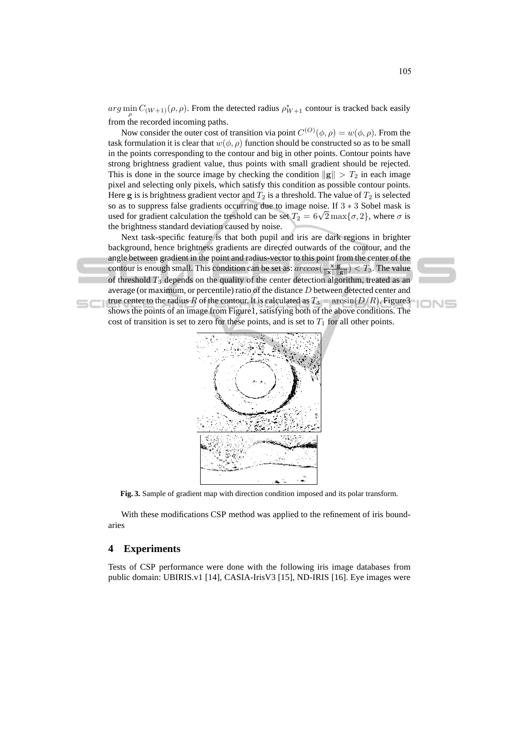$arg \min_{\rho} C_{(W+1)}(\rho, \rho)$ . From the detected radius  $\rho_{W+1}^*$  contour is tracked back easily from the recorded incoming paths.

Now consider the outer cost of transition via point  $C^{(O)}(\phi, \rho) = w(\phi, \rho)$ . From the task formulation it is clear that  $w(\phi, \rho)$  function should be constructed so as to be small in the points corresponding to the contour and big in other points. Contour points have strong brightness gradient value, thus points with small gradient should be rejected. This is done in the source image by checking the condition  $\|\mathbf{g}\| > T_2$  in each image pixel and selecting only pixels, which satisfy this condition as possible contour points. Here g is is brightness gradient vector and  $T_2$  is a threshold. The value of  $T_2$  is selected so as to suppress false gradients occurring due to image noise. If 3 ∗ 3 Sobel mask is used for gradient calculation the treshold can be set  $T_2 = 6\sqrt{2} \max{\lbrace \sigma, 2 \rbrace}$ , where  $\sigma$  is the brightness standard deviation caused by noise.

Next task-specific feature is that both pupil and iris are dark regions in brighter background, hence brightness gradients are directed outwards of the contour, and the angle between gradient in the point and radius-vector to this point from the center of the contour is enough small. This condition can be set as:  $\arccos(\frac{\mathbf{x} \cdot \mathbf{g}}{\|\mathbf{x}\| \|\mathbf{g}\|}) < T_3$ . The value of threshold  $T_3$  depends on the quality of the center detection algorithm, treated as an average (or maximum, or percentile) ratio of the distance D between detected center and true center to the radius R of the contour. It is calculated as  $T_3 = \arcsin(D/R)$ . Figure 3 shows the points of an image from Figure1, satisfying both of the above conditions. The cost of transition is set to zero for these points, and is set to  $T_1$  for all other points.



**Fig. 3.** Sample of gradient map with direction condition imposed and its polar transform.

With these modifications CSP method was applied to the refinement of iris boundaries

## **4 Experiments**

Tests of CSP performance were done with the following iris image databases from public domain: UBIRIS.v1 [14], CASIA-IrisV3 [15], ND-IRIS [16]. Eye images were

IONS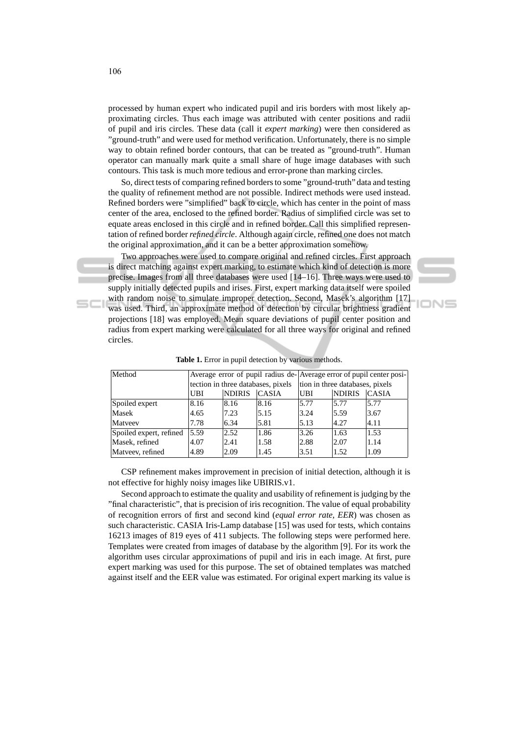processed by human expert who indicated pupil and iris borders with most likely approximating circles. Thus each image was attributed with center positions and radii of pupil and iris circles. These data (call it *expert marking*) were then considered as "ground-truth" and were used for method verification. Unfortunately, there is no simple way to obtain refined border contours, that can be treated as "ground-truth". Human operator can manually mark quite a small share of huge image databases with such contours. This task is much more tedious and error-prone than marking circles.

So, direct tests of comparing refined borders to some "ground-truth" data and testing the quality of refinement method are not possible. Indirect methods were used instead. Refined borders were "simplified" back to circle, which has center in the point of mass center of the area, enclosed to the refined border. Radius of simplified circle was set to equate areas enclosed in this circle and in refined border. Call this simplified representation of refined border *refined circle*. Although again circle, refined one does not match the original approximation, and it can be a better approximation somehow.

Two approaches were used to compare original and refined circles. First approach is direct matching against expert marking, to estimate which kind of detection is more precise. Images from all three databases were used [14–16]. Three ways were used to supply initially detected pupils and irises. First, expert marking data itself were spoiled with random noise to simulate improper detection. Second, Masek's algorithm [17] was used. Third, an approximate method of detection by circular brightness gradient projections [18] was employed. Mean square deviations of pupil center position and radius from expert marking were calculated for all three ways for original and refined circles.

ION⊆

| Method                  |                                    |               |              | Average error of pupil radius de-Average error of pupil center posi- |               |              |
|-------------------------|------------------------------------|---------------|--------------|----------------------------------------------------------------------|---------------|--------------|
|                         | tection in three databases, pixels |               |              | tion in three databases, pixels                                      |               |              |
|                         | UBI                                | <b>NDIRIS</b> | <b>CASIA</b> | <b>UBI</b>                                                           | <b>NDIRIS</b> | <b>CASIA</b> |
| Spoiled expert          | 8.16                               | 8.16          | 8.16         | 5.77                                                                 | 5.77          | 5.77         |
| Masek                   | 4.65                               | 7.23          | 5.15         | 3.24                                                                 | 5.59          | 3.67         |
| Matyeev                 | 7.78                               | 6.34          | 5.81         | 5.13                                                                 | 4.27          | 4.11         |
| Spoiled expert, refined | 5.59                               | 2.52          | 1.86         | 3.26                                                                 | 1.63          | 1.53         |
| Masek, refined          | 4.07                               | 2.41          | 1.58         | 2.88                                                                 | 2.07          | 1.14         |
| Matveev, refined        | 4.89                               | 2.09          | 1.45         | 3.51                                                                 | 1.52          | 1.09         |

**Table 1.** Error in pupil detection by various methods.

CSP refinement makes improvement in precision of initial detection, although it is not effective for highly noisy images like UBIRIS.v1.

Second approach to estimate the quality and usability of refinement is judging by the "final characteristic", that is precision of iris recognition. The value of equal probability of recognition errors of first and second kind (*equal error rate, EER*) was chosen as such characteristic. CASIA Iris-Lamp database [15] was used for tests, which contains 16213 images of 819 eyes of 411 subjects. The following steps were performed here. Templates were created from images of database by the algorithm [9]. For its work the algorithm uses circular approximations of pupil and iris in each image. At first, pure expert marking was used for this purpose. The set of obtained templates was matched against itself and the EER value was estimated. For original expert marking its value is

 $SCI$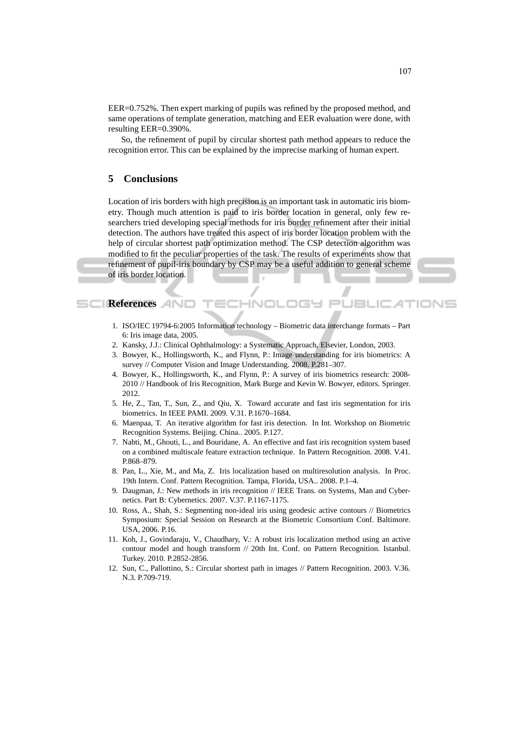EER=0.752%. Then expert marking of pupils was refined by the proposed method, and same operations of template generation, matching and EER evaluation were done, with resulting EER=0.390%.

So, the refinement of pupil by circular shortest path method appears to reduce the recognition error. This can be explained by the imprecise marking of human expert.

#### **5 Conclusions**

Location of iris borders with high precision is an important task in automatic iris biometry. Though much attention is paid to iris border location in general, only few researchers tried developing special methods for iris border refinement after their initial detection. The authors have treated this aspect of iris border location problem with the help of circular shortest path optimization method. The CSP detection algorithm was modified to fit the peculiar properties of the task. The results of experiments show that refinement of pupil-iris boundary by CSP may be a useful addition to general scheme of iris border location.

#### **References**

- 1. ISO/IEC 19794-6:2005 Information technology Biometric data interchange formats Part 6: Iris image data, 2005.
- 2. Kansky, J.J.: Clinical Ophthalmology: a Systematic Approach, Elsevier, London, 2003.
- 3. Bowyer, K., Hollingsworth, K., and Flynn, P.: Image understanding for iris biometrics: A survey // Computer Vision and Image Understanding. 2008. P.281–307.
- 4. Bowyer, K., Hollingsworth, K., and Flynn, P.: A survey of iris biometrics research: 2008- 2010 // Handbook of Iris Recognition, Mark Burge and Kevin W. Bowyer, editors. Springer. 2012.
- 5. He, Z., Tan, T., Sun, Z., and Qiu, X. Toward accurate and fast iris segmentation for iris biometrics. In IEEE PAMI. 2009. V.31. P.1670–1684.
- 6. Maenpaa, T. An iterative algorithm for fast iris detection. In Int. Workshop on Biometric Recognition Systems. Beijing. China.. 2005. P.127.
- 7. Nabti, M., Ghouti, L., and Bouridane, A. An effective and fast iris recognition system based on a combined multiscale feature extraction technique. In Pattern Recognition. 2008. V.41. P.868–879.
- 8. Pan, L., Xie, M., and Ma, Z. Iris localization based on multiresolution analysis. In Proc. 19th Intern. Conf. Pattern Recognition. Tampa, Florida, USA.. 2008. P.1–4.
- 9. Daugman, J.: New methods in iris recognition // IEEE Trans. on Systems, Man and Cybernetics. Part B: Cybernetics. 2007. V.37. P.1167-1175.
- 10. Ross, A., Shah, S.: Segmenting non-ideal iris using geodesic active contours // Biometrics Symposium: Special Session on Research at the Biometric Consortium Conf. Baltimore. USA, 2006. P.16.
- 11. Koh, J., Govindaraju, V., Chaudhary, V.: A robust iris localization method using an active contour model and hough transform // 20th Int. Conf. on Pattern Recognition. Istanbul. Turkey. 2010. P.2852-2856.
- 12. Sun, C., Pallottino, S.: Circular shortest path in images // Pattern Recognition. 2003. V.36. N.3. P.709-719.